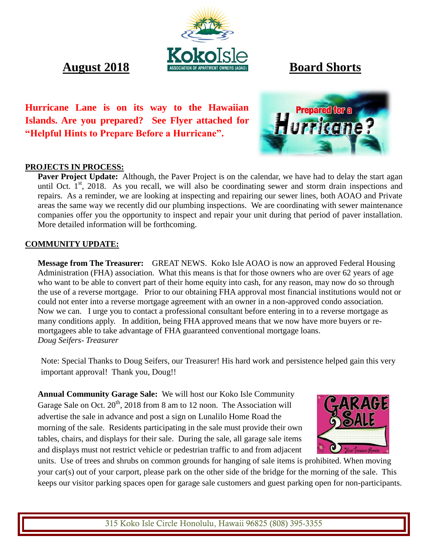**August** 2018 **Board Shorts** 

**Hurricane Lane is on its way to the Hawaiian Islands. Are you prepared? See Flyer attached for "Helpful Hints to Prepare Before a Hurricane".**

# **Prepared for a urricand**

### **PROJECTS IN PROCESS:**

Paver Project Update: Although, the Paver Project is on the calendar, we have had to delay the start agan until Oct.  $1<sup>st</sup>$ , 2018. As you recall, we will also be coordinating sewer and storm drain inspections and repairs. As a reminder, we are looking at inspecting and repairing our sewer lines, both AOAO and Private areas the same way we recently did our plumbing inspections. We are coordinating with sewer maintenance companies offer you the opportunity to inspect and repair your unit during that period of paver installation. More detailed information will be forthcoming.

### **COMMUNITY UPDATE:**

**Message from The Treasurer:** GREAT NEWS. Koko Isle AOAO is now an approved Federal Housing Administration (FHA) association. What this means is that for those owners who are over 62 years of age who want to be able to convert part of their home equity into cash, for any reason, may now do so through the use of a reverse mortgage. Prior to our obtaining FHA approval most financial institutions would not or could not enter into a reverse mortgage agreement with an owner in a non-approved condo association. Now we can. I urge you to contact a professional consultant before entering in to a reverse mortgage as many conditions apply. In addition, being FHA approved means that we now have more buyers or remortgagees able to take advantage of FHA guaranteed conventional mortgage loans. *Doug Seifers- Treasurer*

Note: Special Thanks to Doug Seifers, our Treasurer! His hard work and persistence helped gain this very important approval! Thank you, Doug!!

**Annual Community Garage Sale:**We will host our Koko Isle Community Garage Sale on Oct.  $20^{th}$ , 2018 from 8 am to 12 noon. The Association will advertise the sale in advance and post a sign on Lunalilo Home Road the morning of the sale.Residents participating in the sale must provide their own tables, chairs, and displays for their sale. During the sale, all garage sale items and displays must not restrict vehicle or pedestrian traffic to and from adjacent



units. Use of trees and shrubs on common grounds for hanging of sale items is prohibited. When moving your car(s) out of your carport, please park on the other side of the bridge for the morning of the sale. This keeps our visitor parking spaces open for garage sale customers and guest parking open for non-participants.

315 Koko Isle Circle Honolulu, Hawaii 96825 (808) 395-3355